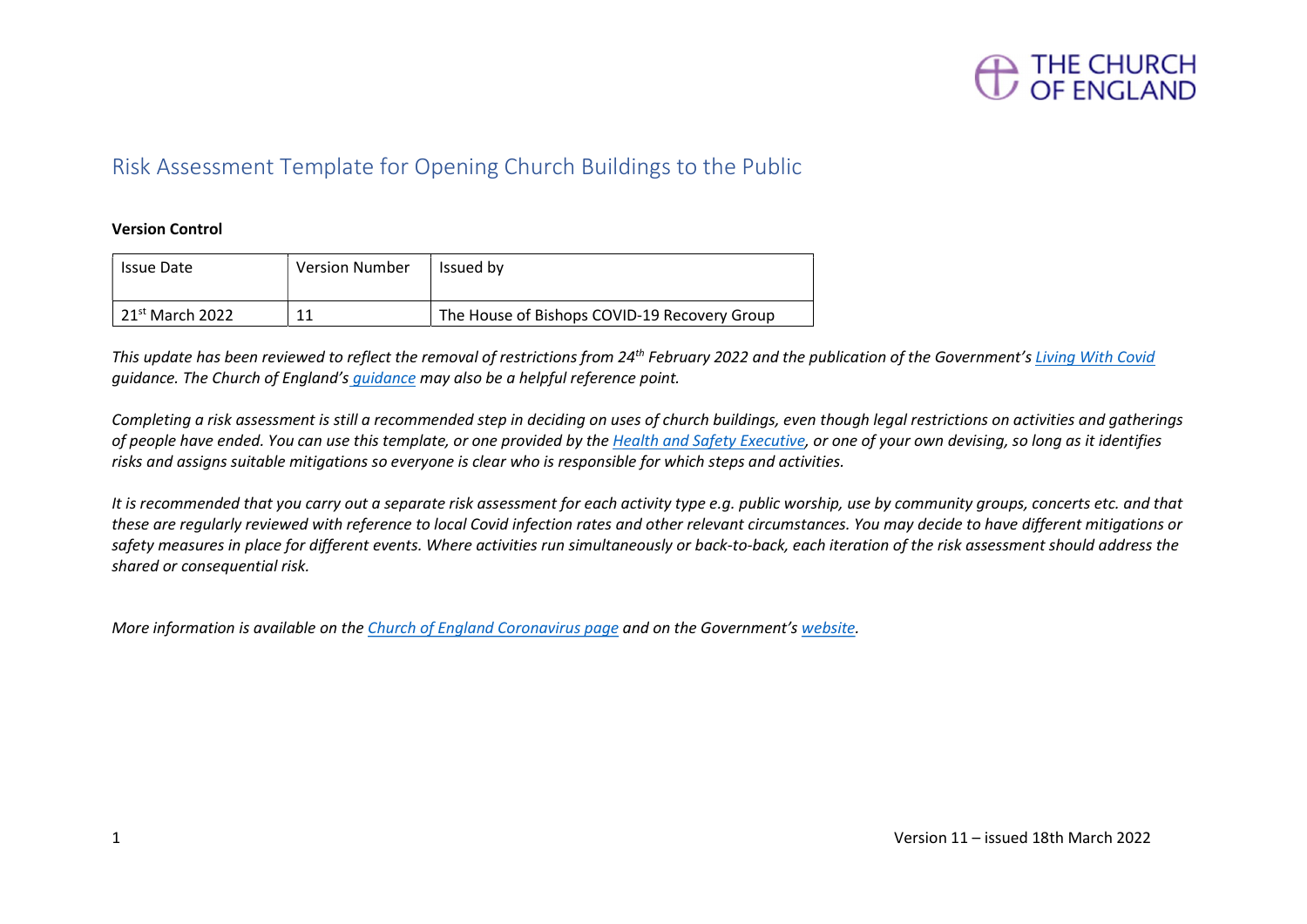

### Risk Assessment Template for Opening Church Buildings to the Public

### Version Control

| Issue Date                          | <b>Version Number</b> | Issued by                                    |
|-------------------------------------|-----------------------|----------------------------------------------|
| $\vert$ 21 <sup>st</sup> March 2022 | 11                    | The House of Bishops COVID-19 Recovery Group |

This update has been reviewed to reflect the removal of restrictions from 24<sup>th</sup> February 2022 and the publication of the Government's Living With Covid guidance. The Church of England's guidance may also be a helpful reference point.

Completing a risk assessment is still a recommended step in deciding on uses of church buildings, even though legal restrictions on activities and gatherings of people have ended. You can use this template, or one provided by the Health and Safety Executive, or one of your own devising, so long as it identifies risks and assigns suitable mitigations so everyone is clear who is responsible for which steps and activities.

It is recommended that you carry out a separate risk assessment for each activity type e.g. public worship, use by community groups, concerts etc. and that these are regularly reviewed with reference to local Covid infection rates and other relevant circumstances. You may decide to have different mitigations or safety measures in place for different events. Where activities run simultaneously or back-to-back, each iteration of the risk assessment should address the shared or consequential risk.

More information is available on the Church of England Coronavirus page and on the Government's website.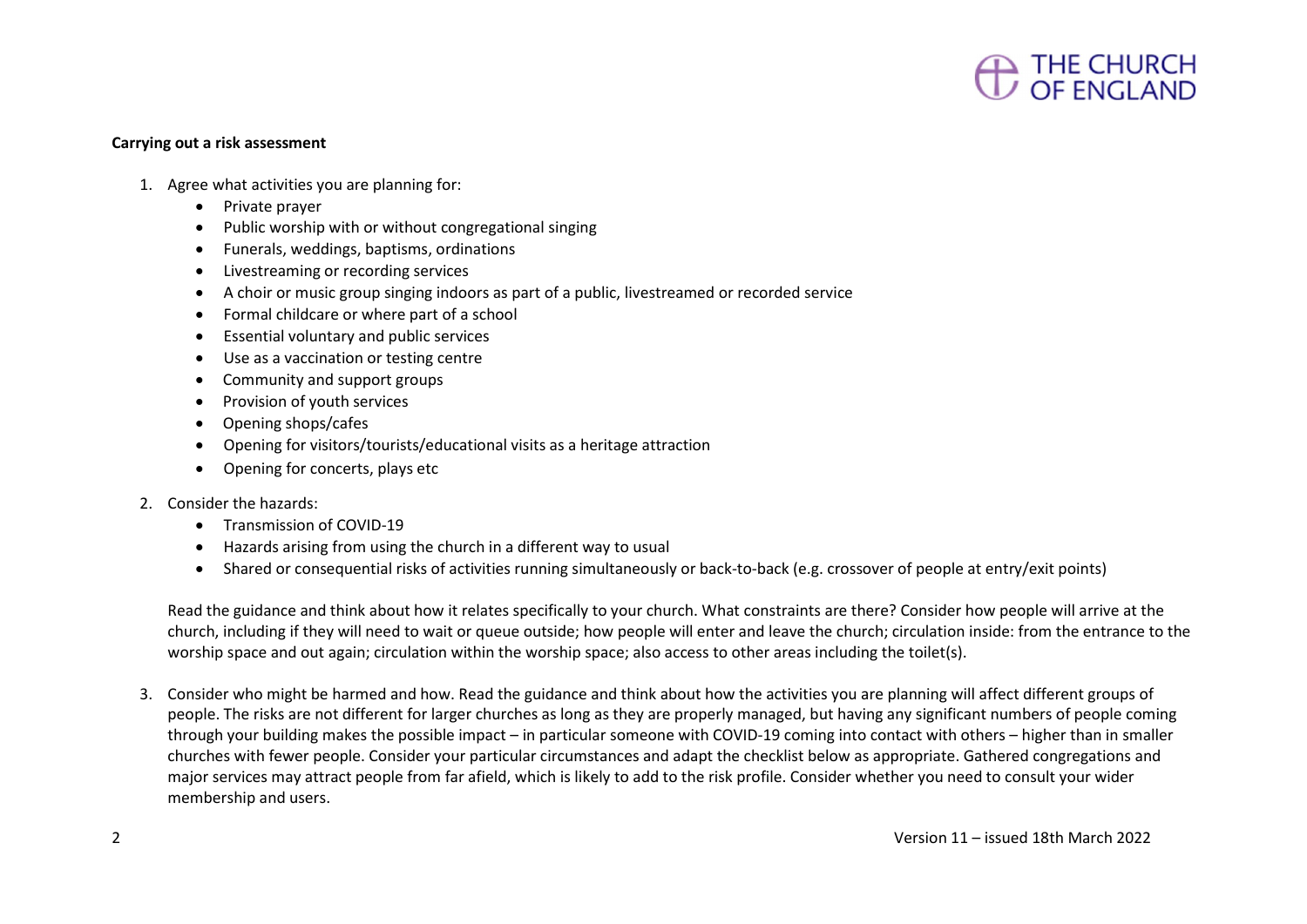

#### Carrying out a risk assessment

- 1. Agree what activities you are planning for:
	- Private prayer
	- Public worship with or without congregational singing
	- Funerals, weddings, baptisms, ordinations
	- Livestreaming or recording services
	- A choir or music group singing indoors as part of a public, livestreamed or recorded service
	- Formal childcare or where part of a school
	- Essential voluntary and public services
	- Use as a vaccination or testing centre
	- Community and support groups
	- Provision of youth services
	- Opening shops/cafes
	- Opening for visitors/tourists/educational visits as a heritage attraction
	- Opening for concerts, plays etc
- 2. Consider the hazards:
	- **•** Transmission of COVID-19
	- Hazards arising from using the church in a different way to usual
	- Shared or consequential risks of activities running simultaneously or back-to-back (e.g. crossover of people at entry/exit points)

Read the guidance and think about how it relates specifically to your church. What constraints are there? Consider how people will arrive at the church, including if they will need to wait or queue outside; how people will enter and leave the church; circulation inside: from the entrance to the worship space and out again; circulation within the worship space; also access to other areas including the toilet(s).

3. Consider who might be harmed and how. Read the guidance and think about how the activities you are planning will affect different groups of people. The risks are not different for larger churches as long as they are properly managed, but having any significant numbers of people coming through your building makes the possible impact – in particular someone with COVID-19 coming into contact with others – higher than in smaller churches with fewer people. Consider your particular circumstances and adapt the checklist below as appropriate. Gathered congregations and major services may attract people from far afield, which is likely to add to the risk profile. Consider whether you need to consult your wider membership and users.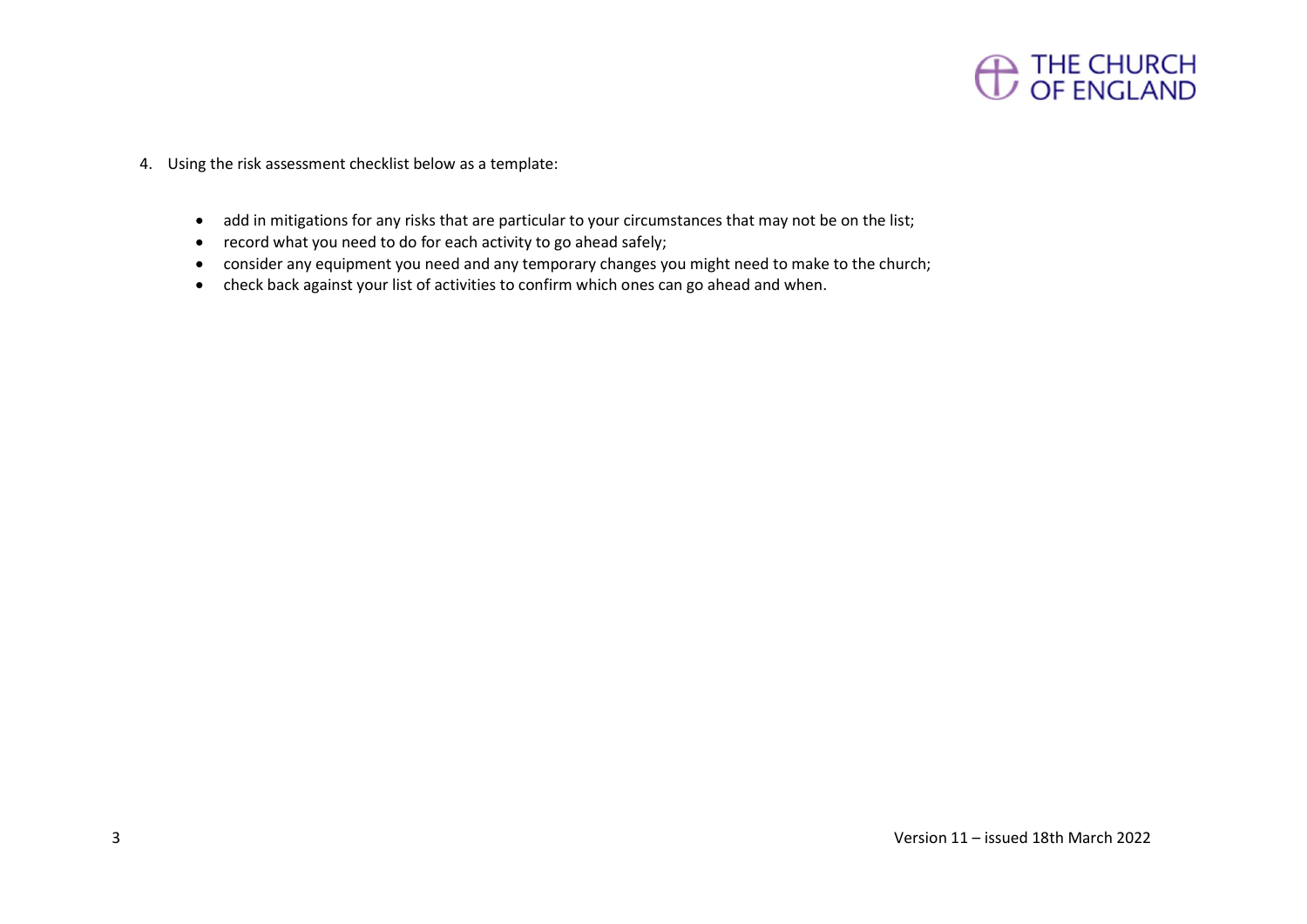

- 4. Using the risk assessment checklist below as a template:
	- add in mitigations for any risks that are particular to your circumstances that may not be on the list;
	- record what you need to do for each activity to go ahead safely;
	- consider any equipment you need and any temporary changes you might need to make to the church;
	- check back against your list of activities to confirm which ones can go ahead and when.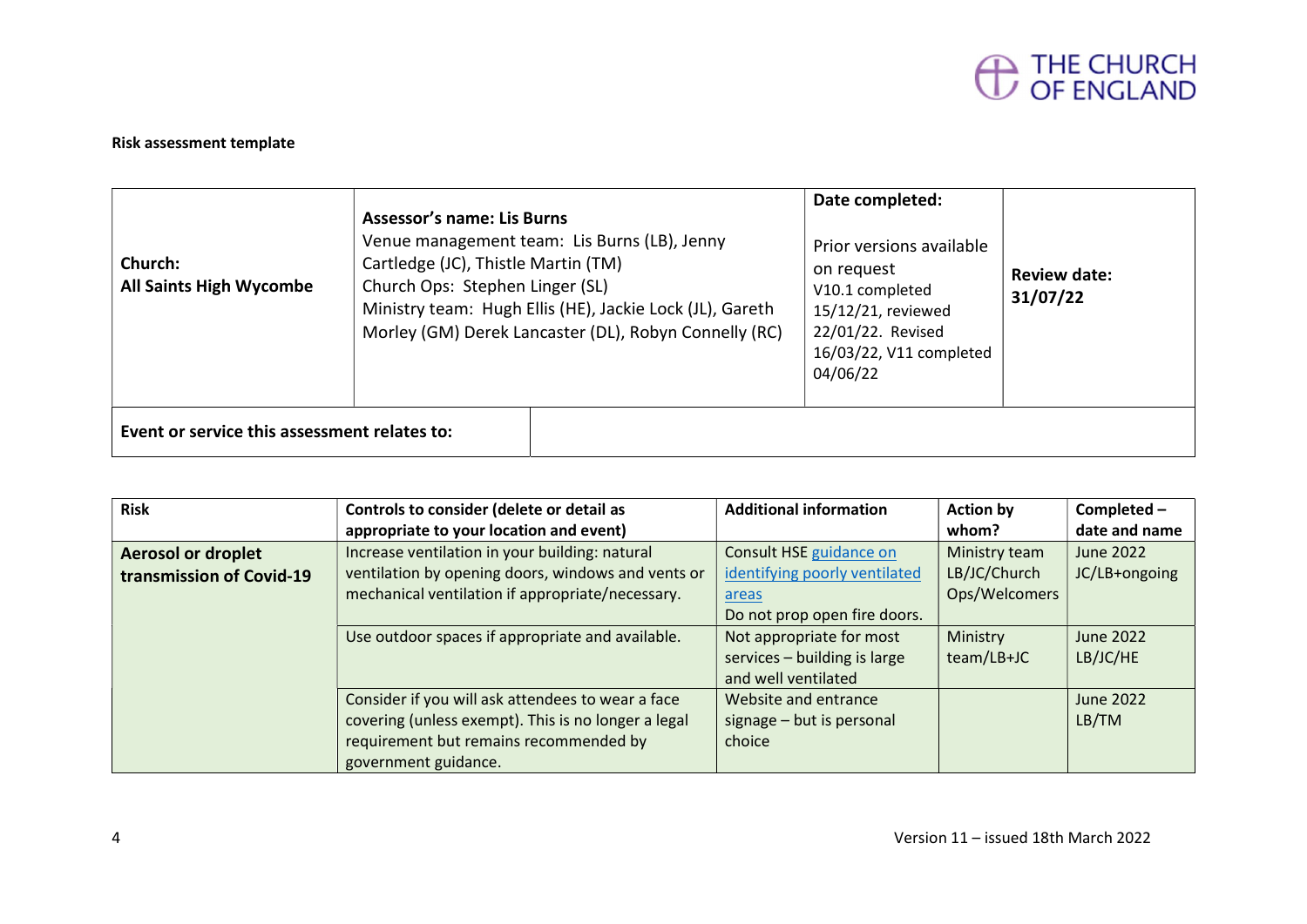

### Risk assessment template

| Church:<br><b>All Saints High Wycombe</b>    | <b>Assessor's name: Lis Burns</b><br>Cartledge (JC), Thistle Martin (TM)<br>Church Ops: Stephen Linger (SL) | Venue management team: Lis Burns (LB), Jenny<br>Ministry team: Hugh Ellis (HE), Jackie Lock (JL), Gareth<br>Morley (GM) Derek Lancaster (DL), Robyn Connelly (RC) | Date completed:<br>Prior versions available<br>on request<br>V10.1 completed<br>15/12/21, reviewed<br>22/01/22. Revised<br>16/03/22, V11 completed<br>04/06/22 | Review date:<br>31/07/22 |
|----------------------------------------------|-------------------------------------------------------------------------------------------------------------|-------------------------------------------------------------------------------------------------------------------------------------------------------------------|----------------------------------------------------------------------------------------------------------------------------------------------------------------|--------------------------|
| Event or service this assessment relates to: |                                                                                                             |                                                                                                                                                                   |                                                                                                                                                                |                          |

| <b>Risk</b>               | Controls to consider (delete or detail as           | <b>Additional information</b> | <b>Action by</b> | Completed -   |
|---------------------------|-----------------------------------------------------|-------------------------------|------------------|---------------|
|                           | appropriate to your location and event)             |                               | whom?            | date and name |
| <b>Aerosol or droplet</b> | Increase ventilation in your building: natural      | Consult HSE guidance on       | Ministry team    | June 2022     |
| transmission of Covid-19  | ventilation by opening doors, windows and vents or  | identifying poorly ventilated | LB/JC/Church     | JC/LB+ongoing |
|                           | mechanical ventilation if appropriate/necessary.    | areas                         | Ops/Welcomers    |               |
|                           |                                                     | Do not prop open fire doors.  |                  |               |
|                           | Use outdoor spaces if appropriate and available.    | Not appropriate for most      | Ministry         | June 2022     |
|                           |                                                     | services - building is large  | team/LB+JC       | LB/JC/HE      |
|                           |                                                     | and well ventilated           |                  |               |
|                           | Consider if you will ask attendees to wear a face   | Website and entrance          |                  | June 2022     |
|                           | covering (unless exempt). This is no longer a legal | signage - but is personal     |                  | LB/TM         |
|                           | requirement but remains recommended by              | choice                        |                  |               |
|                           | government guidance.                                |                               |                  |               |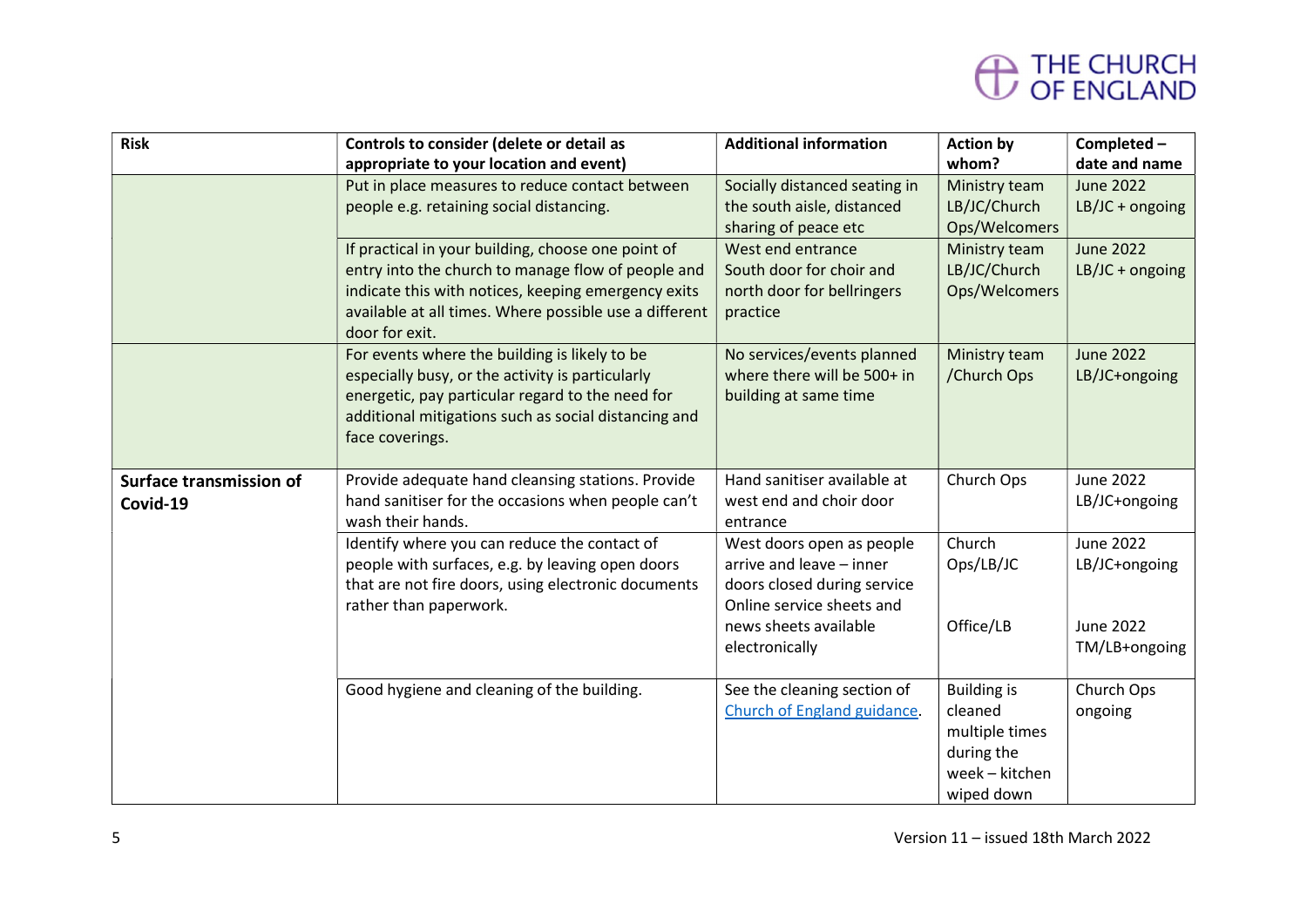# THE CHURCH<br>OF ENGLAND

| <b>Risk</b>                    | Controls to consider (delete or detail as              | <b>Additional information</b> | <b>Action by</b>   | Completed-        |
|--------------------------------|--------------------------------------------------------|-------------------------------|--------------------|-------------------|
|                                | appropriate to your location and event)                |                               | whom?              | date and name     |
|                                | Put in place measures to reduce contact between        | Socially distanced seating in | Ministry team      | <b>June 2022</b>  |
|                                | people e.g. retaining social distancing.               | the south aisle, distanced    | LB/JC/Church       | $LB/JC + ongoing$ |
|                                |                                                        | sharing of peace etc          | Ops/Welcomers      |                   |
|                                | If practical in your building, choose one point of     | West end entrance             | Ministry team      | <b>June 2022</b>  |
|                                | entry into the church to manage flow of people and     | South door for choir and      | LB/JC/Church       | $LB/JC + ongoing$ |
|                                | indicate this with notices, keeping emergency exits    | north door for bellringers    | Ops/Welcomers      |                   |
|                                | available at all times. Where possible use a different | practice                      |                    |                   |
|                                | door for exit.                                         |                               |                    |                   |
|                                | For events where the building is likely to be          | No services/events planned    | Ministry team      | <b>June 2022</b>  |
|                                | especially busy, or the activity is particularly       | where there will be 500+ in   | /Church Ops        | LB/JC+ongoing     |
|                                | energetic, pay particular regard to the need for       | building at same time         |                    |                   |
|                                | additional mitigations such as social distancing and   |                               |                    |                   |
|                                | face coverings.                                        |                               |                    |                   |
| <b>Surface transmission of</b> | Provide adequate hand cleansing stations. Provide      | Hand sanitiser available at   | Church Ops         | <b>June 2022</b>  |
|                                | hand sanitiser for the occasions when people can't     | west end and choir door       |                    | LB/JC+ongoing     |
| Covid-19                       | wash their hands.                                      | entrance                      |                    |                   |
|                                | Identify where you can reduce the contact of           | West doors open as people     | Church             | <b>June 2022</b>  |
|                                | people with surfaces, e.g. by leaving open doors       | arrive and leave - inner      | Ops/LB/JC          | LB/JC+ongoing     |
|                                | that are not fire doors, using electronic documents    | doors closed during service   |                    |                   |
|                                | rather than paperwork.                                 | Online service sheets and     |                    |                   |
|                                |                                                        | news sheets available         | Office/LB          | June 2022         |
|                                |                                                        | electronically                |                    | TM/LB+ongoing     |
|                                |                                                        |                               |                    |                   |
|                                | Good hygiene and cleaning of the building.             | See the cleaning section of   | <b>Building is</b> | Church Ops        |
|                                |                                                        | Church of England guidance.   | cleaned            | ongoing           |
|                                |                                                        |                               | multiple times     |                   |
|                                |                                                        |                               | during the         |                   |
|                                |                                                        |                               | week - kitchen     |                   |
|                                |                                                        |                               | wiped down         |                   |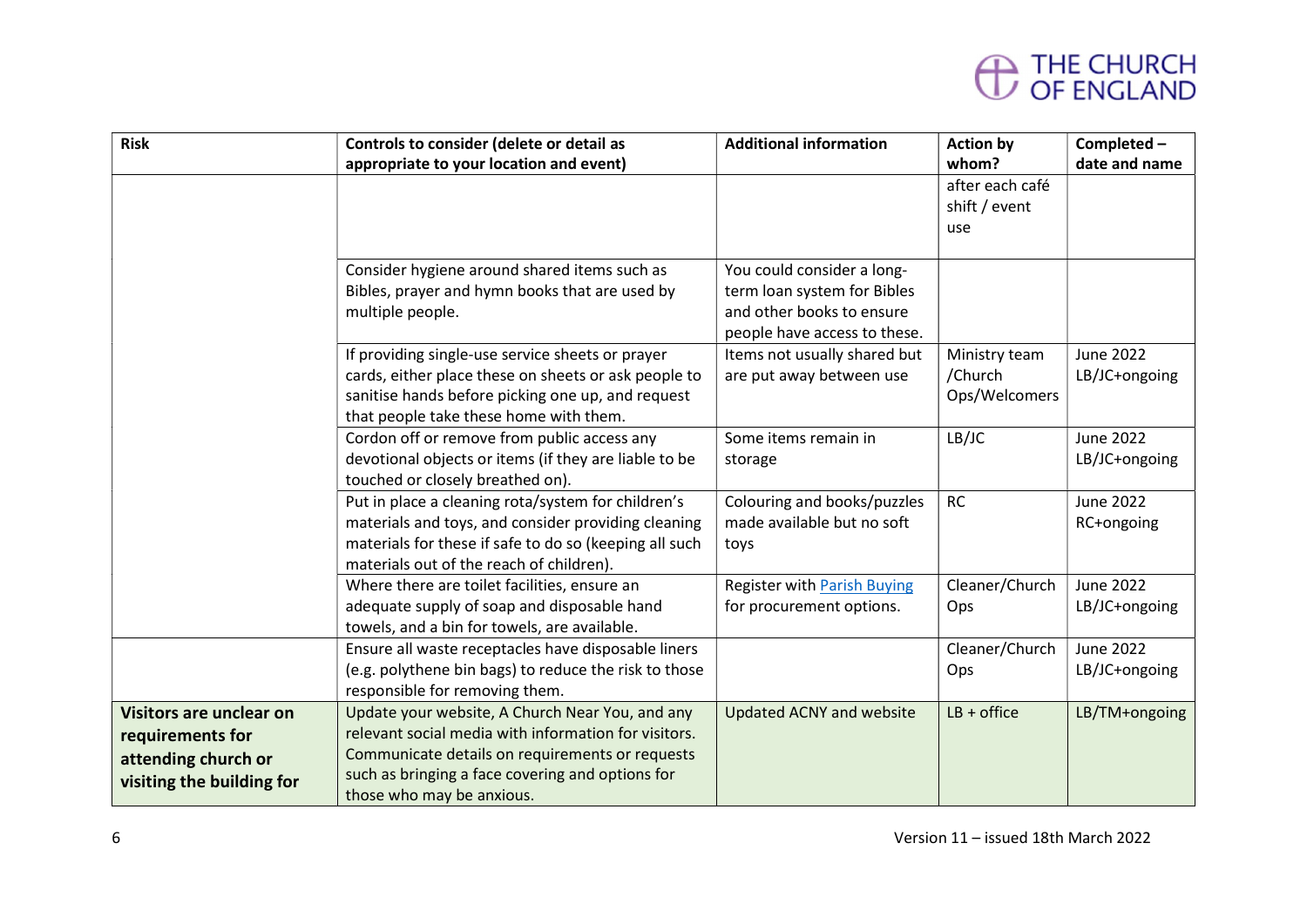## THE CHURCH<br>OF ENGLAND

| <b>Risk</b>                                                                                            | Controls to consider (delete or detail as                                                                                                                                                                                                   | <b>Additional information</b>                                                                                          | <b>Action by</b>                          | Completed-                        |
|--------------------------------------------------------------------------------------------------------|---------------------------------------------------------------------------------------------------------------------------------------------------------------------------------------------------------------------------------------------|------------------------------------------------------------------------------------------------------------------------|-------------------------------------------|-----------------------------------|
|                                                                                                        | appropriate to your location and event)                                                                                                                                                                                                     |                                                                                                                        | whom?                                     | date and name                     |
|                                                                                                        |                                                                                                                                                                                                                                             |                                                                                                                        | after each café<br>shift / event<br>use   |                                   |
|                                                                                                        | Consider hygiene around shared items such as<br>Bibles, prayer and hymn books that are used by<br>multiple people.                                                                                                                          | You could consider a long-<br>term loan system for Bibles<br>and other books to ensure<br>people have access to these. |                                           |                                   |
|                                                                                                        | If providing single-use service sheets or prayer<br>cards, either place these on sheets or ask people to<br>sanitise hands before picking one up, and request<br>that people take these home with them.                                     | Items not usually shared but<br>are put away between use                                                               | Ministry team<br>/Church<br>Ops/Welcomers | <b>June 2022</b><br>LB/JC+ongoing |
|                                                                                                        | Cordon off or remove from public access any<br>devotional objects or items (if they are liable to be<br>touched or closely breathed on).                                                                                                    | Some items remain in<br>storage                                                                                        | LB/JC                                     | <b>June 2022</b><br>LB/JC+ongoing |
|                                                                                                        | Put in place a cleaning rota/system for children's<br>materials and toys, and consider providing cleaning<br>materials for these if safe to do so (keeping all such<br>materials out of the reach of children).                             | Colouring and books/puzzles<br>made available but no soft<br>toys                                                      | RC                                        | <b>June 2022</b><br>RC+ongoing    |
|                                                                                                        | Where there are toilet facilities, ensure an<br>adequate supply of soap and disposable hand<br>towels, and a bin for towels, are available.                                                                                                 | <b>Register with Parish Buying</b><br>for procurement options.                                                         | Cleaner/Church<br>Ops                     | <b>June 2022</b><br>LB/JC+ongoing |
|                                                                                                        | Ensure all waste receptacles have disposable liners<br>(e.g. polythene bin bags) to reduce the risk to those<br>responsible for removing them.                                                                                              |                                                                                                                        | Cleaner/Church<br>Ops                     | <b>June 2022</b><br>LB/JC+ongoing |
| <b>Visitors are unclear on</b><br>requirements for<br>attending church or<br>visiting the building for | Update your website, A Church Near You, and any<br>relevant social media with information for visitors.<br>Communicate details on requirements or requests<br>such as bringing a face covering and options for<br>those who may be anxious. | <b>Updated ACNY and website</b>                                                                                        | $LB + of$ fice                            | LB/TM+ongoing                     |